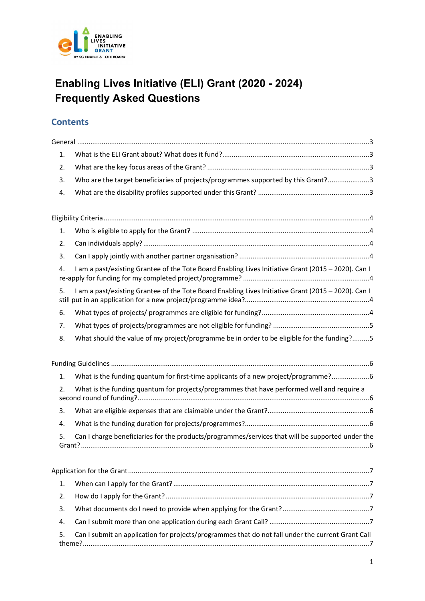

# Enabling Lives Initiative (ELI) Grant (2020 - 2024) Frequently Asked Questions

## **Contents**

| 1. |                                                                                                     |
|----|-----------------------------------------------------------------------------------------------------|
| 2. |                                                                                                     |
| 3. | Who are the target beneficiaries of projects/programmes supported by this Grant?3                   |
| 4. |                                                                                                     |
|    |                                                                                                     |
| 1. |                                                                                                     |
| 2. |                                                                                                     |
| 3. |                                                                                                     |
| 4. | I am a past/existing Grantee of the Tote Board Enabling Lives Initiative Grant (2015 - 2020). Can I |
| 5. | I am a past/existing Grantee of the Tote Board Enabling Lives Initiative Grant (2015 - 2020). Can I |
| 6. |                                                                                                     |
| 7. |                                                                                                     |
| 8. | What should the value of my project/programme be in order to be eligible for the funding?5          |
|    |                                                                                                     |
|    |                                                                                                     |
| 1. | What is the funding quantum for first-time applicants of a new project/programme?6                  |
| 2. | What is the funding quantum for projects/programmes that have performed well and require a          |
| 3. |                                                                                                     |
| 4. |                                                                                                     |
| 5. | Can I charge beneficiaries for the products/programmes/services that will be supported under the    |
|    |                                                                                                     |
| 1. |                                                                                                     |
| 2. |                                                                                                     |
| 3. |                                                                                                     |
| 4. |                                                                                                     |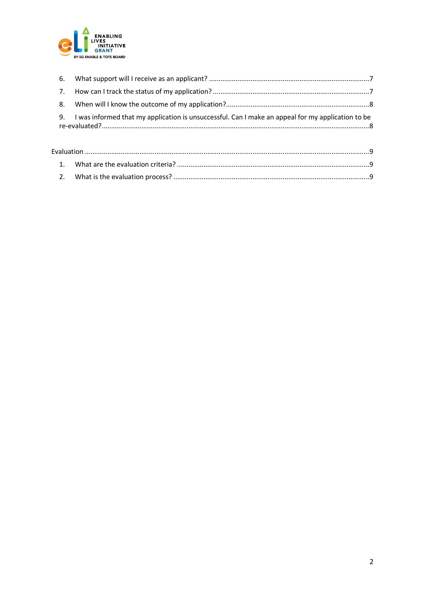

| 9. I was informed that my application is unsuccessful. Can I make an appeal for my application to be |
|------------------------------------------------------------------------------------------------------|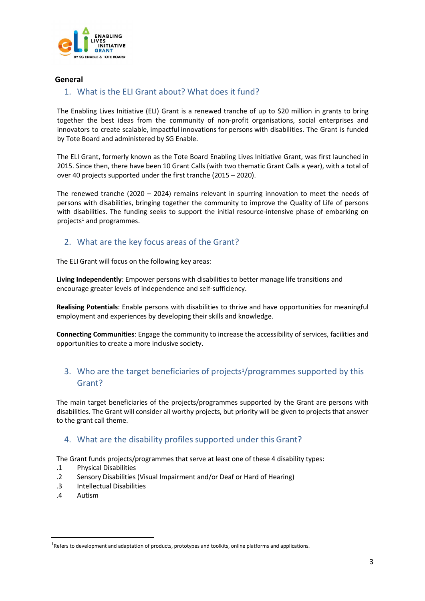

#### General

#### 1. What is the ELI Grant about? What does it fund?

The Enabling Lives Initiative (ELI) Grant is a renewed tranche of up to \$20 million in grants to bring together the best ideas from the community of non-profit organisations, social enterprises and innovators to create scalable, impactful innovations for persons with disabilities. The Grant is funded by Tote Board and administered by SG Enable.

The ELI Grant, formerly known as the Tote Board Enabling Lives Initiative Grant, was first launched in 2015. Since then, there have been 10 Grant Calls (with two thematic Grant Calls a year), with a total of over 40 projects supported under the first tranche (2015 – 2020).

The renewed tranche (2020 – 2024) remains relevant in spurring innovation to meet the needs of persons with disabilities, bringing together the community to improve the Quality of Life of persons with disabilities. The funding seeks to support the initial resource-intensive phase of embarking on projects<sup>1</sup> and programmes.

### 2. What are the key focus areas of the Grant?

The ELI Grant will focus on the following key areas:

Living Independently: Empower persons with disabilities to better manage life transitions and encourage greater levels of independence and self-sufficiency.

Realising Potentials: Enable persons with disabilities to thrive and have opportunities for meaningful employment and experiences by developing their skills and knowledge.

Connecting Communities: Engage the community to increase the accessibility of services, facilities and opportunities to create a more inclusive society.

### 3. Who are the target beneficiaries of projects<sup>1</sup>/programmes supported by this Grant?

The main target beneficiaries of the projects/programmes supported by the Grant are persons with disabilities. The Grant will consider all worthy projects, but priority will be given to projects that answer to the grant call theme.

#### 4. What are the disability profiles supported under this Grant?

The Grant funds projects/programmes that serve at least one of these 4 disability types:

- .1 Physical Disabilities
- .2 Sensory Disabilities (Visual Impairment and/or Deaf or Hard of Hearing)
- .3 Intellectual Disabilities
- .4 Autism

 $1$ Refers to development and adaptation of products, prototypes and toolkits, online platforms and applications.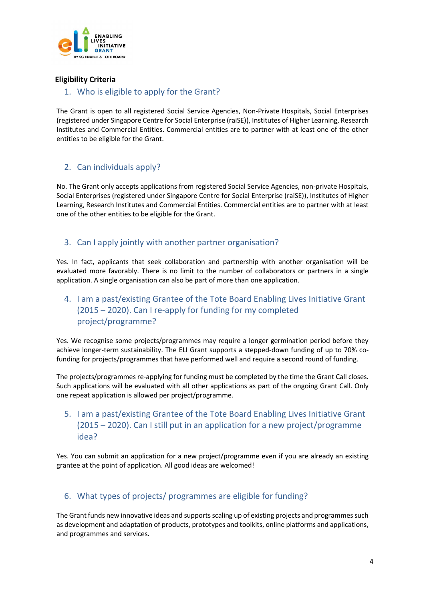

### Eligibility Criteria

#### 1. Who is eligible to apply for the Grant?

The Grant is open to all registered Social Service Agencies, Non-Private Hospitals, Social Enterprises (registered under Singapore Centre for Social Enterprise (raiSE)), Institutes of Higher Learning, Research Institutes and Commercial Entities. Commercial entities are to partner with at least one of the other entities to be eligible for the Grant.

### 2. Can individuals apply?

No. The Grant only accepts applications from registered Social Service Agencies, non-private Hospitals, Social Enterprises (registered under Singapore Centre for Social Enterprise (raiSE)), Institutes of Higher Learning, Research Institutes and Commercial Entities. Commercial entities are to partner with at least one of the other entities to be eligible for the Grant.

### 3. Can I apply jointly with another partner organisation?

Yes. In fact, applicants that seek collaboration and partnership with another organisation will be evaluated more favorably. There is no limit to the number of collaborators or partners in a single application. A single organisation can also be part of more than one application.

### 4. I am a past/existing Grantee of the Tote Board Enabling Lives Initiative Grant (2015 – 2020). Can I re-apply for funding for my completed project/programme?

Yes. We recognise some projects/programmes may require a longer germination period before they achieve longer-term sustainability. The ELI Grant supports a stepped-down funding of up to 70% cofunding for projects/programmes that have performed well and require a second round of funding.

The projects/programmes re-applying for funding must be completed by the time the Grant Call closes. Such applications will be evaluated with all other applications as part of the ongoing Grant Call. Only one repeat application is allowed per project/programme.

### 5. I am a past/existing Grantee of the Tote Board Enabling Lives Initiative Grant (2015 – 2020). Can I still put in an application for a new project/programme idea?

Yes. You can submit an application for a new project/programme even if you are already an existing grantee at the point of application. All good ideas are welcomed!

### 6. What types of projects/ programmes are eligible for funding?

The Grant funds new innovative ideas and supports scaling up of existing projects and programmes such as development and adaptation of products, prototypes and toolkits, online platforms and applications, and programmes and services.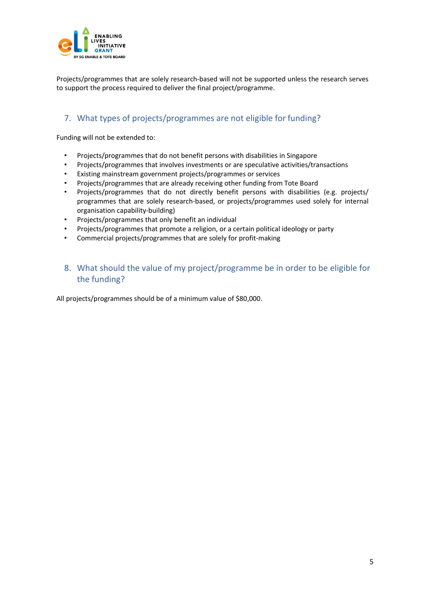

Projects/programmes that are solely research-based will not be supported unless the research serves to support the process required to deliver the final project/programme.

### 7. What types of projects/programmes are not eligible for funding?

Funding will not be extended to:

- Projects/programmes that do not benefit persons with disabilities in Singapore
- Projects/programmes that involves investments or are speculative activities/transactions
- Existing mainstream government projects/programmes or services
- Projects/programmes that are already receiving other funding from Tote Board
- Projects/programmes that do not directly benefit persons with disabilities (e.g. projects/ programmes that are solely research-based, or projects/programmes used solely for internal organisation capability-building)
- Projects/programmes that only benefit an individual
- Projects/programmes that promote a religion, or a certain political ideology or party
- Commercial projects/programmes that are solely for profit-making

### 8. What should the value of my project/programme be in order to be eligible for the funding?

All projects/programmes should be of a minimum value of \$80,000.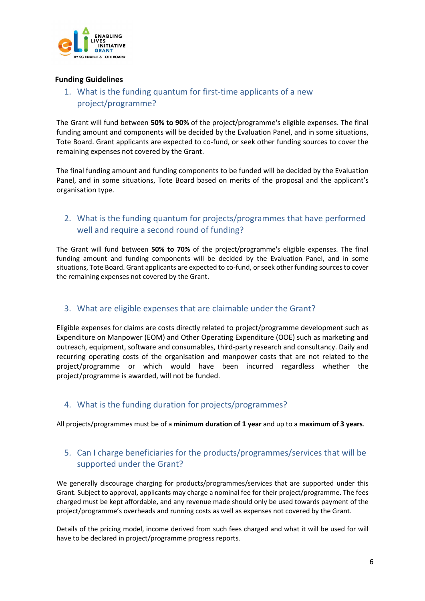

#### Funding Guidelines

### 1. What is the funding quantum for first-time applicants of a new project/programme?

The Grant will fund between 50% to 90% of the project/programme's eligible expenses. The final funding amount and components will be decided by the Evaluation Panel, and in some situations, Tote Board. Grant applicants are expected to co-fund, or seek other funding sources to cover the remaining expenses not covered by the Grant.

The final funding amount and funding components to be funded will be decided by the Evaluation Panel, and in some situations, Tote Board based on merits of the proposal and the applicant's organisation type.

### 2. What is the funding quantum for projects/programmes that have performed well and require a second round of funding?

The Grant will fund between 50% to 70% of the project/programme's eligible expenses. The final funding amount and funding components will be decided by the Evaluation Panel, and in some situations, Tote Board. Grant applicants are expected to co-fund, or seek other funding sources to cover the remaining expenses not covered by the Grant.

### 3. What are eligible expenses that are claimable under the Grant?

Eligible expenses for claims are costs directly related to project/programme development such as Expenditure on Manpower (EOM) and Other Operating Expenditure (OOE) such as marketing and outreach, equipment, software and consumables, third-party research and consultancy. Daily and recurring operating costs of the organisation and manpower costs that are not related to the project/programme or which would have been incurred regardless whether the project/programme is awarded, will not be funded.

### 4. What is the funding duration for projects/programmes?

All projects/programmes must be of a minimum duration of 1 year and up to a maximum of 3 years.

### 5. Can I charge beneficiaries for the products/programmes/services that will be supported under the Grant?

We generally discourage charging for products/programmes/services that are supported under this Grant. Subject to approval, applicants may charge a nominal fee for their project/programme. The fees charged must be kept affordable, and any revenue made should only be used towards payment of the project/programme's overheads and running costs as well as expenses not covered by the Grant.

Details of the pricing model, income derived from such fees charged and what it will be used for will have to be declared in project/programme progress reports.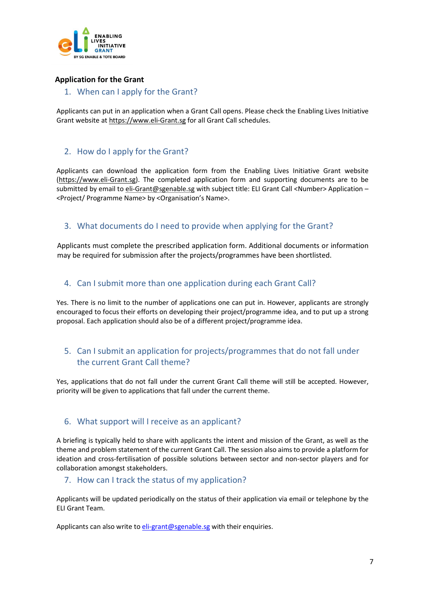

### Application for the Grant

1. When can I apply for the Grant?

Applicants can put in an application when a Grant Call opens. Please check the Enabling Lives Initiative Grant website at https://www.eli-Grant.sg for all Grant Call schedules.

### 2. How do I apply for the Grant?

Applicants can download the application form from the Enabling Lives Initiative Grant website (https://www.eli-Grant.sg). The completed application form and supporting documents are to be submitted by email to eli-Grant@sgenable.sg with subject title: ELI Grant Call <Number> Application -<Project/ Programme Name> by <Organisation's Name>.

### 3. What documents do I need to provide when applying for the Grant?

Applicants must complete the prescribed application form. Additional documents or information may be required for submission after the projects/programmes have been shortlisted.

### 4. Can I submit more than one application during each Grant Call?

Yes. There is no limit to the number of applications one can put in. However, applicants are strongly encouraged to focus their efforts on developing their project/programme idea, and to put up a strong proposal. Each application should also be of a different project/programme idea.

### 5. Can I submit an application for projects/programmes that do not fall under the current Grant Call theme?

Yes, applications that do not fall under the current Grant Call theme will still be accepted. However, priority will be given to applications that fall under the current theme.

#### 6. What support will I receive as an applicant?

A briefing is typically held to share with applicants the intent and mission of the Grant, as well as the theme and problem statement of the current Grant Call. The session also aims to provide a platform for ideation and cross-fertilisation of possible solutions between sector and non-sector players and for collaboration amongst stakeholders.

#### 7. How can I track the status of my application?

Applicants will be updated periodically on the status of their application via email or telephone by the ELI Grant Team.

Applicants can also write to eli-grant@sgenable.sg with their enquiries.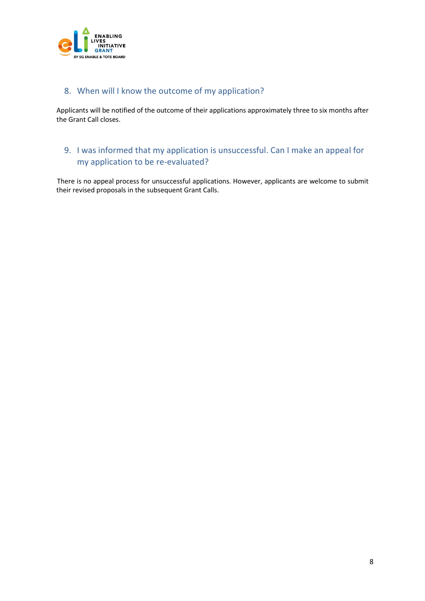

### 8. When will I know the outcome of my application?

Applicants will be notified of the outcome of their applications approximately three to six months after the Grant Call closes.

### 9. I was informed that my application is unsuccessful. Can I make an appeal for my application to be re-evaluated?

There is no appeal process for unsuccessful applications. However, applicants are welcome to submit their revised proposals in the subsequent Grant Calls.